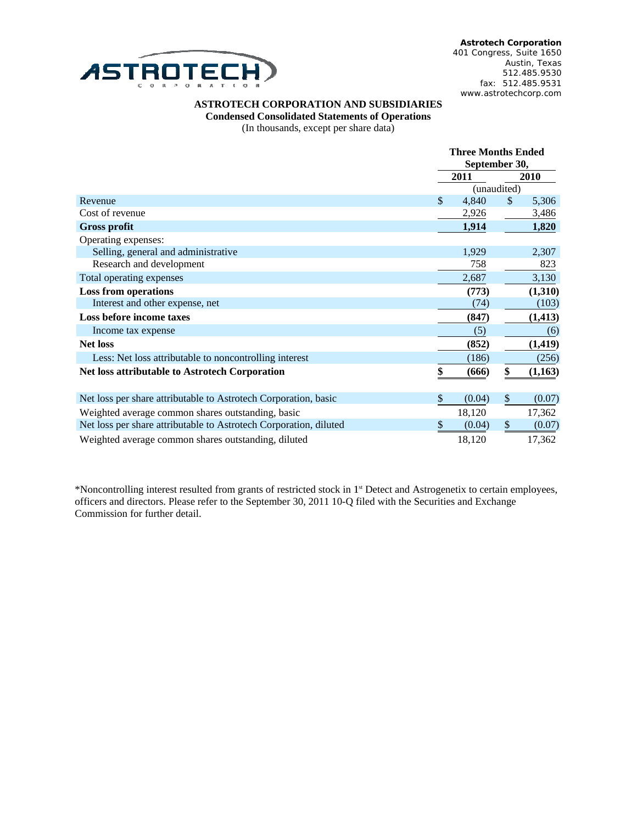

**Astrotech Corporation** 401 Congress, Suite 1650 Austin, Texas 512.485.9530 fax: 512.485.9531 www.astrotechcorp.com

## ASTROTECH CORPORATION AND SUBSIDIARIES

**Condensed Consolidated Statements of Operations** 

(In thousands, except per share data)

|                                                                   | <b>Three Months Ended</b> |             |              |          |
|-------------------------------------------------------------------|---------------------------|-------------|--------------|----------|
|                                                                   | September 30,             |             |              |          |
|                                                                   |                           | 2011        |              | 2010     |
|                                                                   |                           | (unaudited) |              |          |
| Revenue                                                           | \$                        | 4,840       | $\mathbb{S}$ | 5,306    |
| Cost of revenue                                                   |                           | 2,926       |              | 3,486    |
| <b>Gross profit</b>                                               |                           | 1,914       |              | 1,820    |
| Operating expenses:                                               |                           |             |              |          |
| Selling, general and administrative                               |                           | 1,929       |              | 2,307    |
| Research and development                                          |                           | 758         |              | 823      |
| Total operating expenses                                          |                           | 2,687       |              | 3,130    |
| <b>Loss from operations</b>                                       |                           | (773)       |              | (1,310)  |
| Interest and other expense, net                                   |                           | (74)        |              | (103)    |
| Loss before income taxes                                          |                           | (847)       |              | (1, 413) |
| Income tax expense                                                |                           | (5)         |              | (6)      |
| <b>Net loss</b>                                                   |                           | (852)       |              | (1, 419) |
| Less: Net loss attributable to noncontrolling interest            |                           | (186)       |              | (256)    |
| <b>Net loss attributable to Astrotech Corporation</b>             | \$                        | (666)       | \$           | (1,163)  |
|                                                                   |                           |             |              |          |
| Net loss per share attributable to Astrotech Corporation, basic   | \$                        | (0.04)      | \$           | (0.07)   |
| Weighted average common shares outstanding, basic                 |                           | 18,120      |              | 17,362   |
| Net loss per share attributable to Astrotech Corporation, diluted | \$                        | (0.04)      | \$           | (0.07)   |
| Weighted average common shares outstanding, diluted               |                           | 18,120      |              | 17,362   |

\*Noncontrolling interest resulted from grants of restricted stock in 1<sup>st</sup> Detect and Astrogenetix to certain employees, officers and directors. Please refer to the September 30, 2011 10-Q filed with the Securities and Exchange Commission for further detail.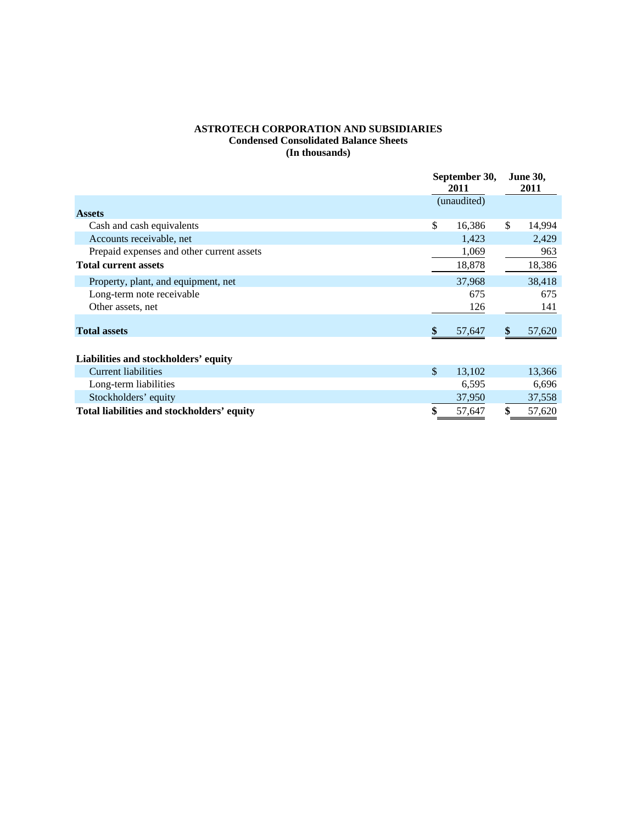## **ASTROTECH CORPORATION AND SUBSIDIARIES Condensed Consolidated Balance Sheets (In thousands)**

|                                            | September 30,<br><b>2011</b> |        | <b>June 30,</b><br>2011 |        |
|--------------------------------------------|------------------------------|--------|-------------------------|--------|
|                                            | (unaudited)                  |        |                         |        |
| <b>Assets</b>                              |                              |        |                         |        |
| Cash and cash equivalents                  | \$                           | 16,386 | \$                      | 14,994 |
| Accounts receivable, net                   |                              | 1,423  |                         | 2,429  |
| Prepaid expenses and other current assets  |                              | 1,069  |                         | 963    |
| <b>Total current assets</b>                |                              | 18,878 |                         | 18,386 |
| Property, plant, and equipment, net        |                              | 37,968 |                         | 38,418 |
| Long-term note receivable                  |                              | 675    |                         | 675    |
| Other assets, net                          |                              | 126    |                         | 141    |
| <b>Total assets</b>                        |                              | 57,647 | \$                      | 57,620 |
| Liabilities and stockholders' equity       |                              |        |                         |        |
| <b>Current liabilities</b>                 | \$                           | 13,102 |                         | 13,366 |
| Long-term liabilities                      |                              | 6,595  |                         | 6,696  |
| Stockholders' equity                       |                              | 37,950 |                         | 37,558 |
| Total liabilities and stockholders' equity |                              | 57,647 | \$                      | 57,620 |